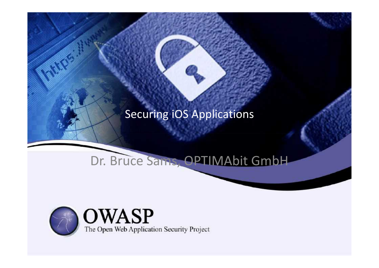### Securing iOS Applications

# Dr. Bruce Sams, OPTIMAbit GmbH

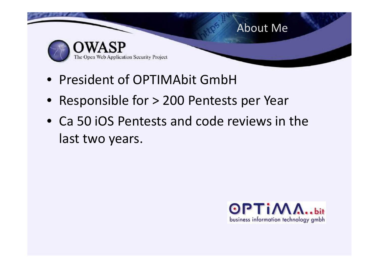

- President of OPTIMAbit GmbH
- Responsible for > 200 Pentests per Year
- Ca 50 iOS Pentests and code reviews in the last two years.

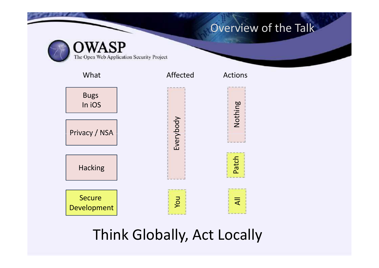#### Overview of the Talk

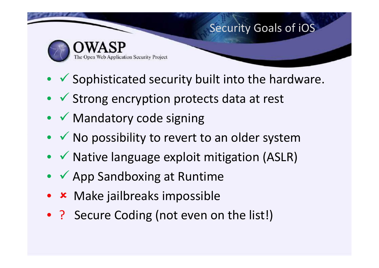# Security Goals of iOS



- $\checkmark$  Sophisticated security built into the hardware.
- $\bullet\;\checkmark$  Strong encryption protects data at rest
- $\checkmark$  Mandatory code signing
- $\bullet\checkmark$  No possibility to revert to an older system
- $\checkmark$  Native language exploit mitigation (ASLR)
- $\checkmark$  App Sandboxing at Runtime
- **\*** Make jailbreaks impossible
- ? Secure Coding (not even on the list!)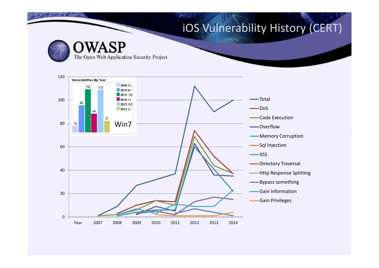## iOS Vulnerability History (CERT)

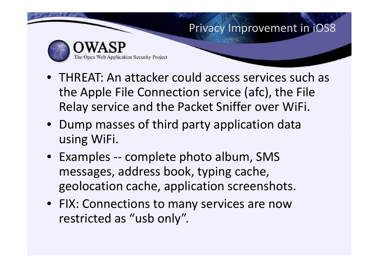#### Privacy Improvement in iOS8



- THREAT: An attacker could access services such as the Apple File Connection service (afc), the File Relay service and the Packet Sniffer over WiFi.
- Dump masses of third party application data using WiFi.
- Examples -- complete photo album, SMS messages, address book, typing cache, geolocation cache, application screenshots.
- FIX: Connections to many services are now restricted as "usb only".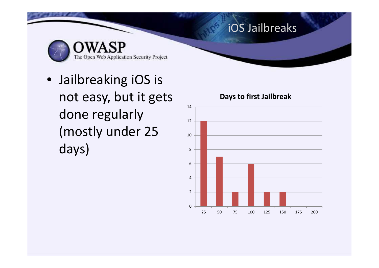# iOS Jailbreaks

The Open Web Application Security Project

• Jailbreaking iOS is not easy, but it gets done regularly (mostly under 25 days)

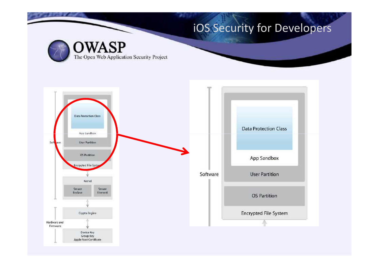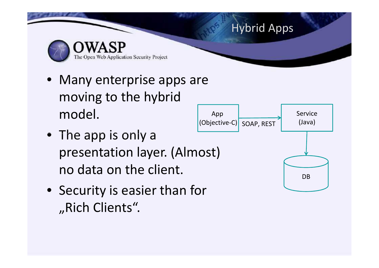# Hybrid Apps Web Application Security Project

- Many enterprise apps are moving to the hybrid model.
- The app is only a presentation layer. (Almost) no data on the client.
- Security is easier than for "Rich Clients".

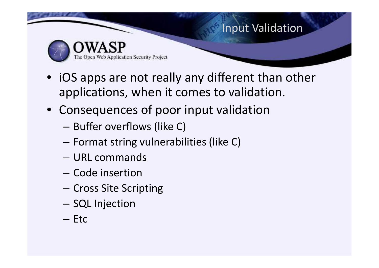

- iOS apps are not really any different than other applications, when it comes to validation.
- Consequences of poor input validation
	- Buffer overflows (like C)
	- Format string vulnerabilities (like C)
	- URL commands
	- Code insertion
	- Cross Site Scripting
	- SQL Injection
	- Etc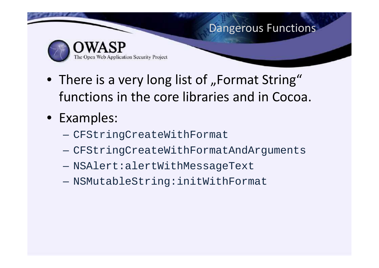

- There is a very long list of "Format String" functions in the core libraries and in Cocoa.
- Examples:
	- CFStringCreateWithFormat –
	- CFStringCreateWithFormatAndArguments
	- NSAlert:alertWithMessageText
	- NSMutableString:initWithFormat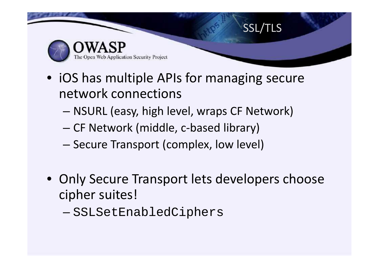

- iOS has multiple APIs for managing secure network connections
	- NSURL (easy, high level, wraps CF Network)
	- CF Network (middle, c-based library)
	- Secure Transport (complex, low level)
- Only Secure Transport lets developers choose •cipher suites!
	- SSLSetEnabledCiphers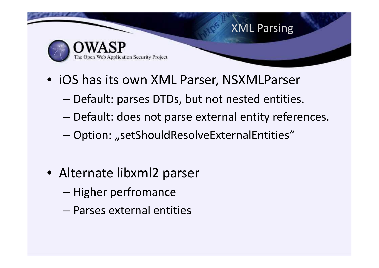

- iOS has its own XML Parser, NSXMLParser
	- Default: parses DTDs, but not nested entities.
	- Default: does not parse external entity references.
	- Option: "setShouldResolveExternalEntities"
- Alternate libxml2 parser
	- Higher perfromance
	- Parses external entities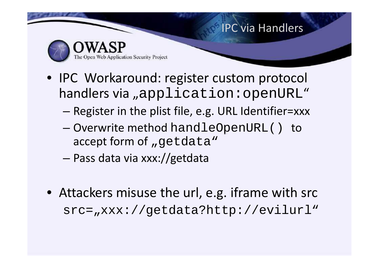

- IPC Workaround: register custom protocol handlers via "application: openURL"
	- Register in the plist file, e.g. URL Identifier=xxx
	- Overwrite method handleOpenURL() to accept form of "getdata"
	- Pass data via xxx://getdata –
- Attackers misuse the url, e.g. iframe with src src="xxx://getdata?http://evilurl"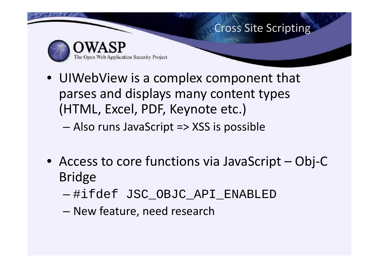

• UIWebView is a complex component that parses and displays many content types (HTML, Excel, PDF, Keynote etc.)

– Also runs JavaScript => XSS is possible

- Access to core functions via JavaScript Obj-C Bridge
	- #ifdef JSC\_OBJC\_API\_ENABLED
	- New feature, need research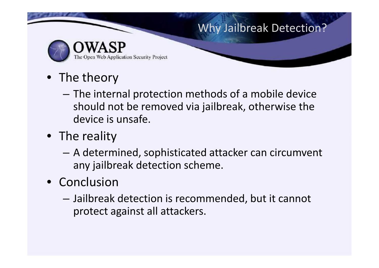### Why Jailbreak Detection?



- The theory
	- The internal protection methods of a mobile device should not be removed via jailbreak, otherwise the device is unsafe.
- The reality
	- A determined, sophisticated attacker can circumvent any jailbreak detection scheme.
- Conclusion
	- Jailbreak detection is recommended, but it cannot protect against all attackers.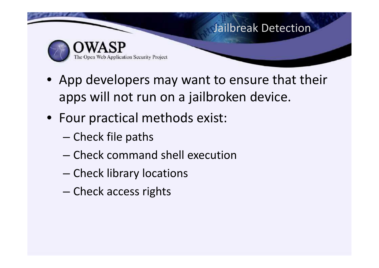

- App developers may want to ensure that their apps will not run on a jailbroken device.
- Four practical methods exist:
	- Check file paths –
	- Check command shell execution
	- Check library locations
	- Check access rights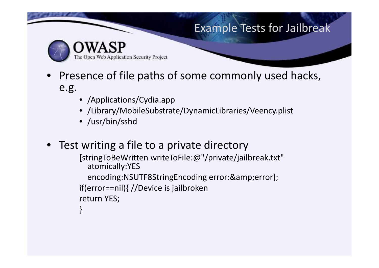#### Example Tests for Jailbreak



Web Application Security Project

- Presence of file paths of some commonly used hacks, e.g.
	- /Applications/Cydia.app
	- /Library/MobileSubstrate/DynamicLibraries/Veency.plist
	- /usr/bin/sshd
- Test writing a file to a private directory

```
[stringToBeWritten writeToFile:@"/private/jailbreak.txt"
  atomically:YES
  encoding:NSUTF8StringEncoding error:&error];
if(error==nil){ //Device is jailbroken
return YES;
}
```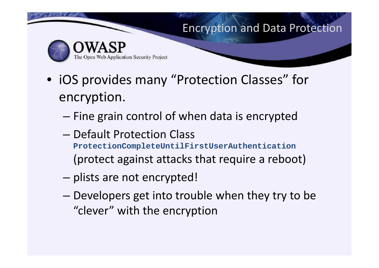#### Encryption and Data Protection



- iOS provides many "Protection Classes" for encryption.
	- Fine grain control of when data is encrypted
	- Default Protection Class **ProtectionCompleteUntilFirstUserAuthentication** (protect against attacks that require a reboot)
	- plists are not encrypted!
	- Developers get into trouble when they try to be "clever" with the encryption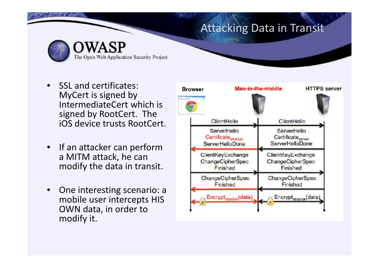#### Attacking Data in Transit

- SSL and certificates: MyCert is signed by IntermediateCert which is signed by RootCert. The iOS device trusts RootCert.
- If an attacker can perform<br>
a MITM attack bo can a MITM attack, he can modify the data in transit.
- One interesting scenario: a mobile user intercepts HIS OWN data, in order to modify it.

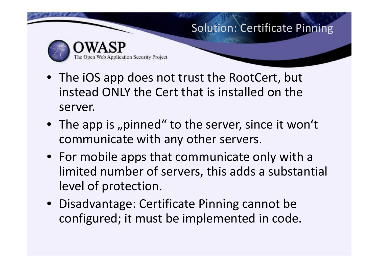#### Solution: Certificate Pinning



- The iOS app does not trust the RootCert, but instead ONLY the Cert that is installed on the server.
- The app is "pinned" to the server, since it won't communicate with any other servers.
- For mobile apps that communicate only with a limited number of servers, this adds a substantial level of protection.
- Disadvantage: Certificate Pinning cannot be configured; it must be implemented in code.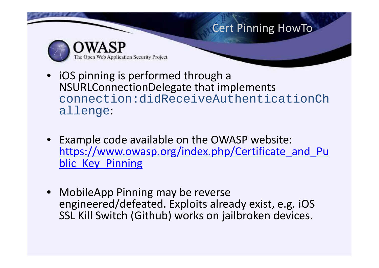

- iOS pinning is performed through a NSURLConnectionDelegate that implements connection:didReceiveAuthenticationCh allenge:
- Example code available on the OWASP website: https://www.owasp.org/index.php/Certificate and Pu blic Key Pinning
- MobileApp Pinning may be reverse engineered/defeated. Exploits already exist, e.g. iOS SSL Kill Switch (Github) works on jailbroken devices.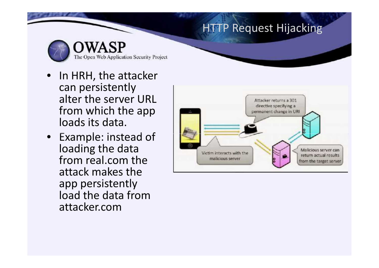#### **HTTP Request Hijacking**

- In HRH, the attacker can persistently alter the server URL from which the app loads its data.
- Example: instead of loading the data from real.com the attack makes the app persistently load the data from attacker.com

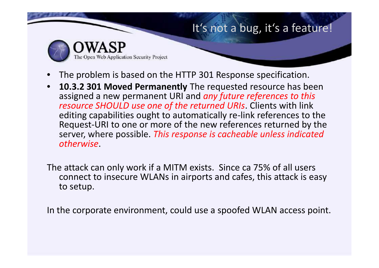#### It's not a bug, it's a feature!

Web Application Security Project

- The problem is based on the HTTP 301 Response specification.
- **10.3.2 301 Moved Permanently** The requested resource has been assigned a new permanent URI and *any future references to this resource SHOULD use one of the returned URIs*. Clients with link editing capabilities ought to automatically re-link references to the Request-URI to one or more of the new references returned by the server, where possible. *This response is cacheable unless indicated otherwise*.
- The attack can only work if a MITM exists. Since ca 75% of all users connect to insecure WLANs in airports and cafes, this attack is easy to setup.

In the corporate environment, could use a spoofed WLAN access point.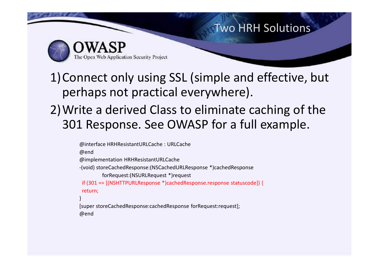#### Two HRH Solutions

The Open Web Application Security Project

1)Connect only using SSL (simple and effective, but perhaps not practical everywhere).

2)Write a derived Class to eliminate caching of the 301 Response. See OWASP for a full example.

```
@interface HRHResistantURLCache : URLCache
@end
@implementation HRHResistantURLCache
-(void) storeCachedResponse:(NSCachedURLResponse *)cachedResponse
          forRequest:(NSURLRequest *)request
 if (301 == [(NSHTTPURLResponse *)cachedResponse.response statuscode]) {
if(301 == [(NSHTTPURLResponse*)cachedResponse.responsestatuscode]) {return;
}
[super storeCachedResponse:cachedResponse forRequest:request];
@end
```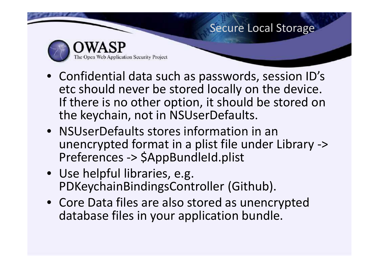#### Secure Local Storage

Web Application Security Project

- Confidential data such as passwords, session ID's etc should never be stored locally on the device. If there is no other option, it should be stored on the keychain, not in NSUserDefaults.
- NSUserDefaults stores information in an unencrypted format in a plist file under Library -> Preferences -> \$AppBundleId.plist
- Use helpful libraries, e.g. PDKeychainBindingsController (Github).
- Core Data files are also stored as unencrypted database files in your application bundle.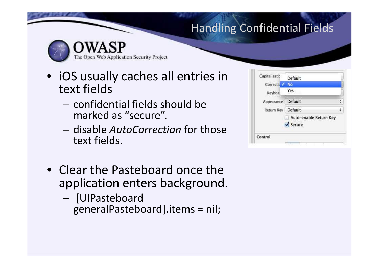# Handling Confidential Fields



Web Application Security Project

- iOS usually caches all entries in text fields
	- confidential fields should be marked as "secure".
	- disable *AutoCorrection* for those text fields.
- Clear the Pasteboard once the application enters background.
	- [UIPasteboard generalPasteboard].items = nil;

| Default                          |  |
|----------------------------------|--|
| No                               |  |
| Yes                              |  |
| Default                          |  |
| Default                          |  |
| Auto-enable Return Key<br>Secure |  |
|                                  |  |
|                                  |  |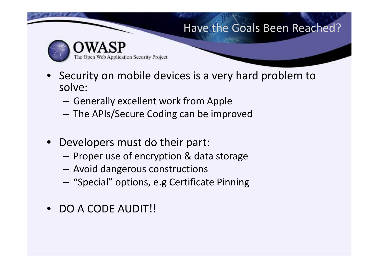#### Have the Goals Been Reached?



eb Application Security Project

- Security on mobile devices is a very hard problem to solve:
	- Generally excellent work from Apple
	- The APIs/Secure Coding can be improved
- Developers must do their part:
	- Proper use of encryption & data storage
	- Avoid dangerous constructions
	- "Special" options, e.g Certificate Pinning
- DO A CODE AUDIT!!